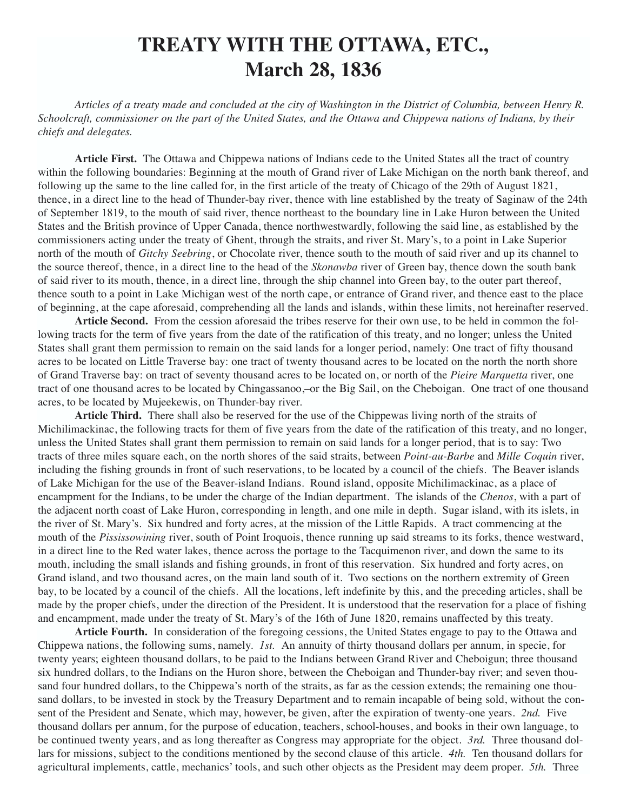## **TREATY WITH THE OTTAWA, ETC., March 28, 1836**

*Articles of a treaty made and concluded at the city of Washington in the District of Columbia, between Henry R. Schoolcraft, commissioner on the part of the United States, and the Ottawa and Chippewa nations of Indians, by their chiefs and delegates.*

**Article First.** The Ottawa and Chippewa nations of Indians cede to the United States all the tract of country within the following boundaries: Beginning at the mouth of Grand river of Lake Michigan on the north bank thereof, and following up the same to the line called for, in the first article of the treaty of Chicago of the 29th of August 1821, thence, in a direct line to the head of Thunder-bay river, thence with line established by the treaty of Saginaw of the 24th of September 1819, to the mouth of said river, thence northeast to the boundary line in Lake Huron between the United States and the British province of Upper Canada, thence northwestwardly, following the said line, as established by the commissioners acting under the treaty of Ghent, through the straits, and river St. Mary's, to a point in Lake Superior north of the mouth of *Gitchy Seebring*, or Chocolate river, thence south to the mouth of said river and up its channel to the source thereof, thence, in a direct line to the head of the *Skonawba* river of Green bay, thence down the south bank of said river to its mouth, thence, in a direct line, through the ship channel into Green bay, to the outer part thereof, thence south to a point in Lake Michigan west of the north cape, or entrance of Grand river, and thence east to the place of beginning, at the cape aforesaid, comprehending all the lands and islands, within these limits, not hereinafter reserved.

**Article Second.** From the cession aforesaid the tribes reserve for their own use, to be held in common the following tracts for the term of five years from the date of the ratification of this treaty, and no longer; unless the United States shall grant them permission to remain on the said lands for a longer period, namely: One tract of fifty thousand acres to be located on Little Traverse bay: one tract of twenty thousand acres to be located on the north the north shore of Grand Traverse bay: on tract of seventy thousand acres to be located on, or north of the *Pieire Marquetta* river, one tract of one thousand acres to be located by Chingassanoo,–or the Big Sail, on the Cheboigan. One tract of one thousand acres, to be located by Mujeekewis, on Thunder-bay river.

**Article Third.** There shall also be reserved for the use of the Chippewas living north of the straits of Michilimackinac, the following tracts for them of five years from the date of the ratification of this treaty, and no longer, unless the United States shall grant them permission to remain on said lands for a longer period, that is to say: Two tracts of three miles square each, on the north shores of the said straits, between *Point-au-Barbe* and *Mille Coquin* river, including the fishing grounds in front of such reservations, to be located by a council of the chiefs. The Beaver islands of Lake Michigan for the use of the Beaver-island Indians. Round island, opposite Michilimackinac, as a place of encampment for the Indians, to be under the charge of the Indian department. The islands of the *Chenos*, with a part of the adjacent north coast of Lake Huron, corresponding in length, and one mile in depth. Sugar island, with its islets, in the river of St. Mary's. Six hundred and forty acres, at the mission of the Little Rapids. A tract commencing at the mouth of the *Pississowining* river, south of Point Iroquois, thence running up said streams to its forks, thence westward, in a direct line to the Red water lakes, thence across the portage to the Tacquimenon river, and down the same to its mouth, including the small islands and fishing grounds, in front of this reservation. Six hundred and forty acres, on Grand island, and two thousand acres, on the main land south of it. Two sections on the northern extremity of Green bay, to be located by a council of the chiefs. All the locations, left indefinite by this, and the preceding articles, shall be made by the proper chiefs, under the direction of the President. It is understood that the reservation for a place of fishing and encampment, made under the treaty of St. Mary's of the 16th of June 1820, remains unaffected by this treaty.

**Article Fourth.** In consideration of the foregoing cessions, the United States engage to pay to the Ottawa and Chippewa nations, the following sums, namely. *1st.* An annuity of thirty thousand dollars per annum, in specie, for twenty years; eighteen thousand dollars, to be paid to the Indians between Grand River and Cheboigun; three thousand six hundred dollars, to the Indians on the Huron shore, between the Cheboigan and Thunder-bay river; and seven thousand four hundred dollars, to the Chippewa's north of the straits, as far as the cession extends; the remaining one thousand dollars, to be invested in stock by the Treasury Department and to remain incapable of being sold, without the consent of the President and Senate, which may, however, be given, after the expiration of twenty-one years. *2nd.* Five thousand dollars per annum, for the purpose of education, teachers, school-houses, and books in their own language, to be continued twenty years, and as long thereafter as Congress may appropriate for the object. *3rd.* Three thousand dollars for missions, subject to the conditions mentioned by the second clause of this article. *4th.* Ten thousand dollars for agricultural implements, cattle, mechanics' tools, and such other objects as the President may deem proper. *5th.* Three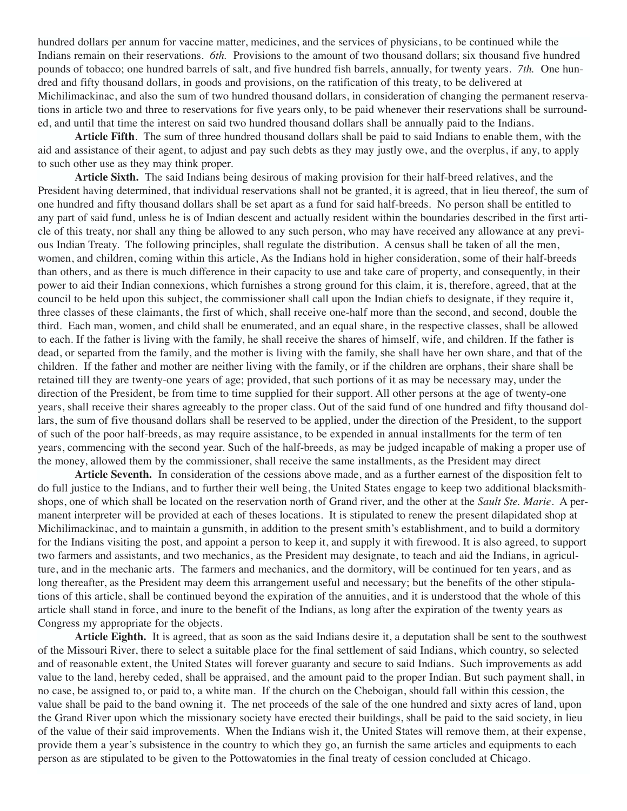hundred dollars per annum for vaccine matter, medicines, and the services of physicians, to be continued while the Indians remain on their reservations. *6th.* Provisions to the amount of two thousand dollars; six thousand five hundred pounds of tobacco; one hundred barrels of salt, and five hundred fish barrels, annually, for twenty years. *7th.* One hundred and fifty thousand dollars, in goods and provisions, on the ratification of this treaty, to be delivered at Michilimackinac, and also the sum of two hundred thousand dollars, in consideration of changing the permanent reservations in article two and three to reservations for five years only, to be paid whenever their reservations shall be surrounded, and until that time the interest on said two hundred thousand dollars shall be annually paid to the Indians.

**Article Fifth**. The sum of three hundred thousand dollars shall be paid to said Indians to enable them, with the aid and assistance of their agent, to adjust and pay such debts as they may justly owe, and the overplus, if any, to apply to such other use as they may think proper.

**Article Sixth.** The said Indians being desirous of making provision for their half-breed relatives, and the President having determined, that individual reservations shall not be granted, it is agreed, that in lieu thereof, the sum of one hundred and fifty thousand dollars shall be set apart as a fund for said half-breeds. No person shall be entitled to any part of said fund, unless he is of Indian descent and actually resident within the boundaries described in the first article of this treaty, nor shall any thing be allowed to any such person, who may have received any allowance at any previous Indian Treaty. The following principles, shall regulate the distribution. A census shall be taken of all the men, women, and children, coming within this article, As the Indians hold in higher consideration, some of their half-breeds than others, and as there is much difference in their capacity to use and take care of property, and consequently, in their power to aid their Indian connexions, which furnishes a strong ground for this claim, it is, therefore, agreed, that at the council to be held upon this subject, the commissioner shall call upon the Indian chiefs to designate, if they require it, three classes of these claimants, the first of which, shall receive one-half more than the second, and second, double the third. Each man, women, and child shall be enumerated, and an equal share, in the respective classes, shall be allowed to each. If the father is living with the family, he shall receive the shares of himself, wife, and children. If the father is dead, or separted from the family, and the mother is living with the family, she shall have her own share, and that of the children. If the father and mother are neither living with the family, or if the children are orphans, their share shall be retained till they are twenty-one years of age; provided, that such portions of it as may be necessary may, under the direction of the President, be from time to time supplied for their support. All other persons at the age of twenty-one years, shall receive their shares agreeably to the proper class. Out of the said fund of one hundred and fifty thousand dollars, the sum of five thousand dollars shall be reserved to be applied, under the direction of the President, to the support of such of the poor half-breeds, as may require assistance, to be expended in annual installments for the term of ten years, commencing with the second year. Such of the half-breeds, as may be judged incapable of making a proper use of the money, allowed them by the commissioner, shall receive the same installments, as the President may direct

**Article Seventh.** In consideration of the cessions above made, and as a further earnest of the disposition felt to do full justice to the Indians, and to further their well being, the United States engage to keep two additional blacksmithshops, one of which shall be located on the reservation north of Grand river, and the other at the *Sault Ste. Marie*. A permanent interpreter will be provided at each of theses locations. It is stipulated to renew the present dilapidated shop at Michilimackinac, and to maintain a gunsmith, in addition to the present smith's establishment, and to build a dormitory for the Indians visiting the post, and appoint a person to keep it, and supply it with firewood. It is also agreed, to support two farmers and assistants, and two mechanics, as the President may designate, to teach and aid the Indians, in agriculture, and in the mechanic arts. The farmers and mechanics, and the dormitory, will be continued for ten years, and as long thereafter, as the President may deem this arrangement useful and necessary; but the benefits of the other stipulations of this article, shall be continued beyond the expiration of the annuities, and it is understood that the whole of this article shall stand in force, and inure to the benefit of the Indians, as long after the expiration of the twenty years as Congress my appropriate for the objects.

**Article Eighth.** It is agreed, that as soon as the said Indians desire it, a deputation shall be sent to the southwest of the Missouri River, there to select a suitable place for the final settlement of said Indians, which country, so selected and of reasonable extent, the United States will forever guaranty and secure to said Indians. Such improvements as add value to the land, hereby ceded, shall be appraised, and the amount paid to the proper Indian. But such payment shall, in no case, be assigned to, or paid to, a white man. If the church on the Cheboigan, should fall within this cession, the value shall be paid to the band owning it. The net proceeds of the sale of the one hundred and sixty acres of land, upon the Grand River upon which the missionary society have erected their buildings, shall be paid to the said society, in lieu of the value of their said improvements. When the Indians wish it, the United States will remove them, at their expense, provide them a year's subsistence in the country to which they go, an furnish the same articles and equipments to each person as are stipulated to be given to the Pottowatomies in the final treaty of cession concluded at Chicago.